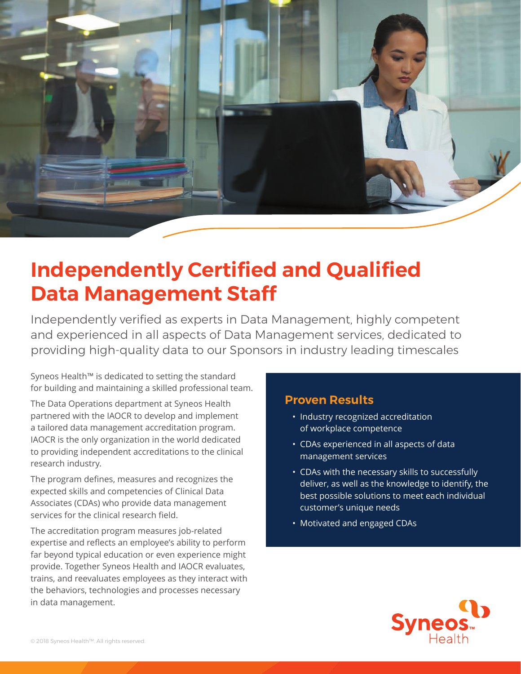

## **Independently Certified and Qualified Data Management Staff**

Independently verified as experts in Data Management, highly competent and experienced in all aspects of Data Management services, dedicated to providing high-quality data to our Sponsors in industry leading timescales

Syneos Health™ is dedicated to setting the standard for building and maintaining a skilled professional team.

The Data Operations department at Syneos Health partnered with the IAOCR to develop and implement a tailored data management accreditation program. IAOCR is the only organization in the world dedicated to providing independent accreditations to the clinical research industry.

The program defines, measures and recognizes the expected skills and competencies of Clinical Data Associates (CDAs) who provide data management services for the clinical research field.

The accreditation program measures job-related expertise and reflects an employee's ability to perform far beyond typical education or even experience might provide. Together Syneos Health and IAOCR evaluates, trains, and reevaluates employees as they interact with the behaviors, technologies and processes necessary in data management.

### **Proven Results**

- Industry recognized accreditation of workplace competence
- CDAs experienced in all aspects of data management services
- CDAs with the necessary skills to successfully deliver, as well as the knowledge to identify, the best possible solutions to meet each individual customer's unique needs
- Motivated and engaged CDAs

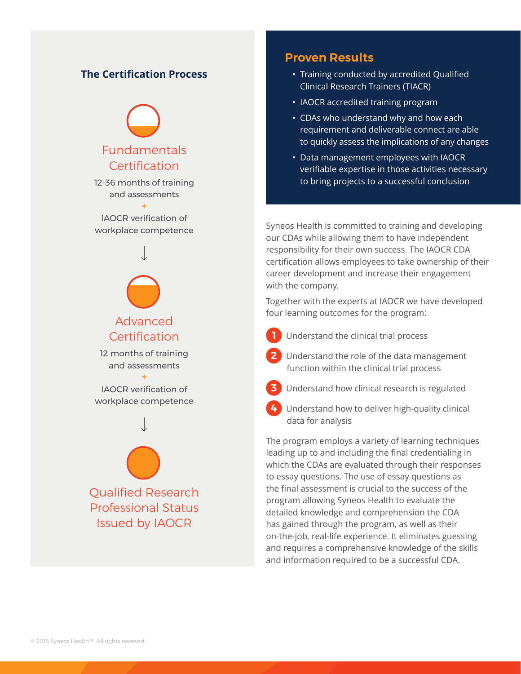### **The Certification Process**

# Fundamentals Certification

12-36 months of training and assessments

**+** IAOCR verification of workplace competence



12 months of training and assessments

**+** IAOCR verification of workplace competence



### **Proven Results**

- Training conducted by accredited Qualified Clinical Research Trainers (TIACR)
- IAOCR accredited training program
- CDAs who understand why and how each requirement and deliverable connect are able to quickly assess the implications of any changes
- Data management employees with IAOCR verifiable expertise in those activities necessary to bring projects to a successful conclusion

Syneos Health is committed to training and developing our CDAs while allowing them to have independent responsibility for their own success. The IAOCR CDA certification allows employees to take ownership of their career development and increase their engagement with the company.

Together with the experts at IAOCR we have developed four learning outcomes for the program:

- **1** Understand the clinical trial process
- **2** Understand the role of the data management function within the clinical trial process
- **3** Understand how clinical research is regulated
- **4** Understand how to deliver high-quality clinical data for analysis

The program employs a variety of learning techniques leading up to and including the final credentialing in which the CDAs are evaluated through their responses to essay questions. The use of essay questions as the final assessment is crucial to the success of the program allowing Syneos Health to evaluate the detailed knowledge and comprehension the CDA has gained through the program, as well as their on-the-job, real-life experience. It eliminates guessing and requires a comprehensive knowledge of the skills and information required to be a successful CDA.